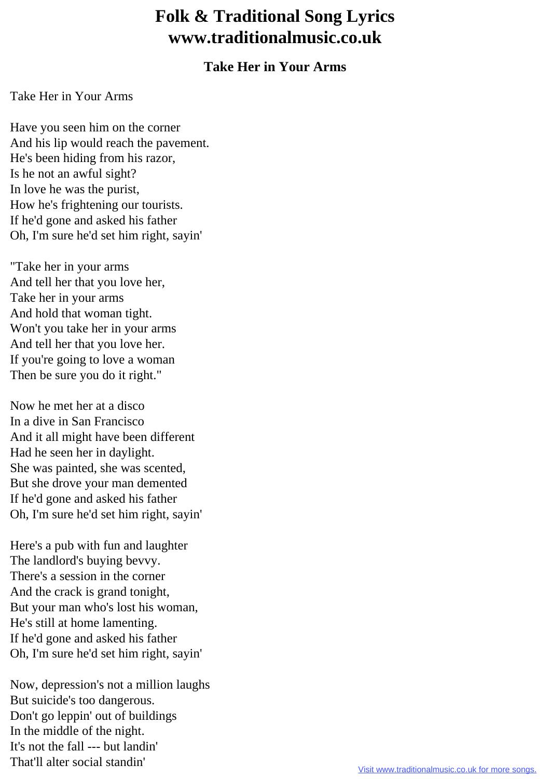## **Folk & Traditional Song Lyrics www.traditionalmusic.co.uk**

## **Take Her in Your Arms**

## Take Her in Your Arms

Have you seen him on the corner And his lip would reach the pavement. He's been hiding from his razor, Is he not an awful sight? In love he was the purist, How he's frightening our tourists. If he'd gone and asked his father Oh, I'm sure he'd set him right, sayin'

"Take her in your arms And tell her that you love her, Take her in your arms And hold that woman tight. Won't you take her in your arms And tell her that you love her. If you're going to love a woman Then be sure you do it right."

Now he met her at a disco In a dive in San Francisco And it all might have been different Had he seen her in daylight. She was painted, she was scented, But she drove your man demented If he'd gone and asked his father Oh, I'm sure he'd set him right, sayin'

Here's a pub with fun and laughter The landlord's buying bevvy. There's a session in the corner And the crack is grand tonight, But your man who's lost his woman, He's still at home lamenting. If he'd gone and asked his father Oh, I'm sure he'd set him right, sayin'

Now, depression's not a million laughs But suicide's too dangerous. Don't go leppin' out of buildings In the middle of the night. It's not the fall --- but landin' That'll alter social standin'